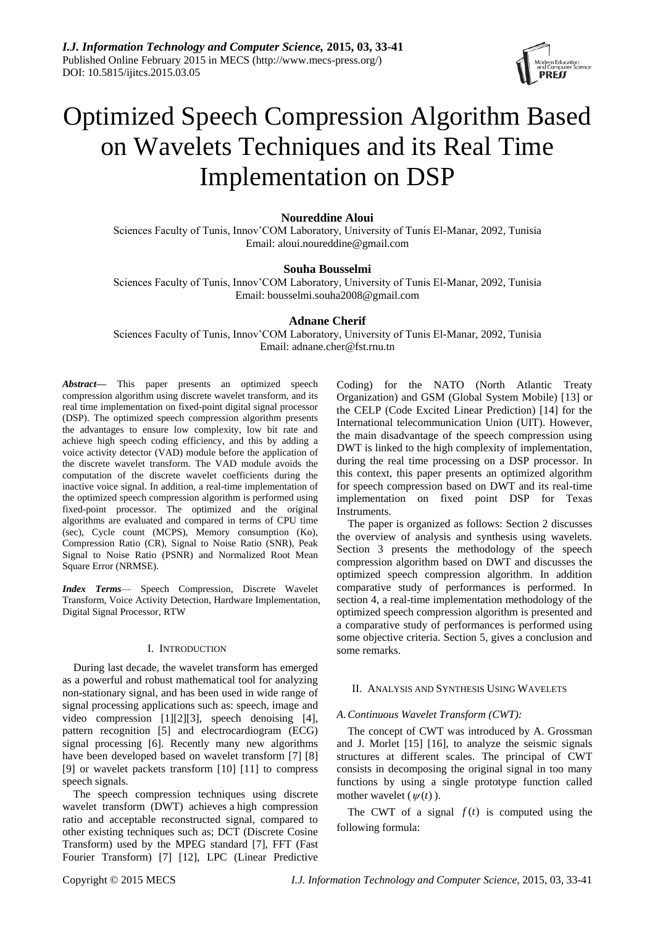

# Optimized Speech Compression Algorithm Based on Wavelets Techniques and its Real Time Implementation on DSP

# **Noureddine Aloui**

Sciences Faculty of Tunis, Innov'COM Laboratory, University of Tunis El-Manar, 2092, Tunisia Email[: aloui.noureddine@gmail.com](mailto:aloui.noureddine@gmail.com)

# **Souha Bousselmi**

Sciences Faculty of Tunis, Innov'COM Laboratory, University of Tunis El-Manar, 2092, Tunisia Email: [bousselmi.souha2008@gmail.com](mailto:bousselmi.souha2008@gmail.com)

# **Adnane Cherif**

Sciences Faculty of Tunis, Innov'COM Laboratory, University of Tunis El-Manar, 2092, Tunisia Email: adnane.cher@fst.rnu.tn

*Abstract***—** This paper presents an optimized speech compression algorithm using discrete wavelet transform, and its real time implementation on fixed-point digital signal processor (DSP). The optimized speech compression algorithm presents the advantages to ensure low complexity, low bit rate and achieve high speech coding efficiency, and this by adding a voice activity detector (VAD) module before the application of the discrete wavelet transform. The VAD module avoids the computation of the discrete wavelet coefficients during the inactive voice signal. In addition, a real-time implementation of the optimized speech compression algorithm is performed using fixed-point processor. The optimized and the original algorithms are evaluated and compared in terms of CPU time (sec), Cycle count (MCPS), Memory consumption (Ko), Compression Ratio (CR), Signal to Noise Ratio (SNR), Peak Signal to Noise Ratio (PSNR) and Normalized Root Mean Square Error (NRMSE).

*Index Terms*— Speech Compression, Discrete Wavelet Transform, Voice Activity Detection, Hardware Implementation, Digital Signal Processor, RTW

## I. INTRODUCTION

During last decade, the wavelet transform has emerged as a powerful and robust mathematical tool for analyzing non-stationary signal, and has been used in wide range of signal processing applications such as: speech, image and video compression [1][2][3], speech denoising [4], pattern recognition [5] and electrocardiogram (ECG) signal processing [6]. Recently many new algorithms have been developed based on wavelet transform [7] [8] [9] or wavelet packets transform [10] [11] to compress speech signals.

The speech compression techniques using discrete wavelet transform (DWT) achieves a high compression ratio and acceptable reconstructed signal, compared to other existing techniques such as; DCT (Discrete Cosine Transform) used by the MPEG standard [7], FFT (Fast Fourier Transform) [7] [12], LPC (Linear Predictive

Coding) for the NATO (North Atlantic Treaty Organization) and GSM (Global System Mobile) [13] or the CELP (Code Excited Linear Prediction) [14] for the International telecommunication Union (UIT). However, the main disadvantage of the speech compression using DWT is linked to the high complexity of implementation, during the real time processing on a DSP processor. In this context, this paper presents an optimized algorithm for speech compression based on DWT and its real-time implementation on fixed point DSP for Texas Instruments.

The paper is organized as follows: Section 2 discusses the overview of analysis and synthesis using wavelets. Section 3 presents the methodology of the speech compression algorithm based on DWT and discusses the optimized speech compression algorithm. In addition comparative study of performances is performed. In section 4, a real-time implementation methodology of the optimized speech compression algorithm is presented and a comparative study of performances is performed using some objective criteria. Section 5, gives a conclusion and some remarks.

## II. ANALYSIS AND SYNTHESIS USING WAVELETS

## *A.Continuous Wavelet Transform (CWT):*

The concept of CWT was introduced by A. Grossman and J. Morlet [15] [16], to analyze the seismic signals structures at different scales. The principal of CWT consists in decomposing the original signal in too many functions by using a single prototype function called mother wavelet  $(\psi(t))$ .

The CWT of a signal  $f(t)$  is computed using the following formula: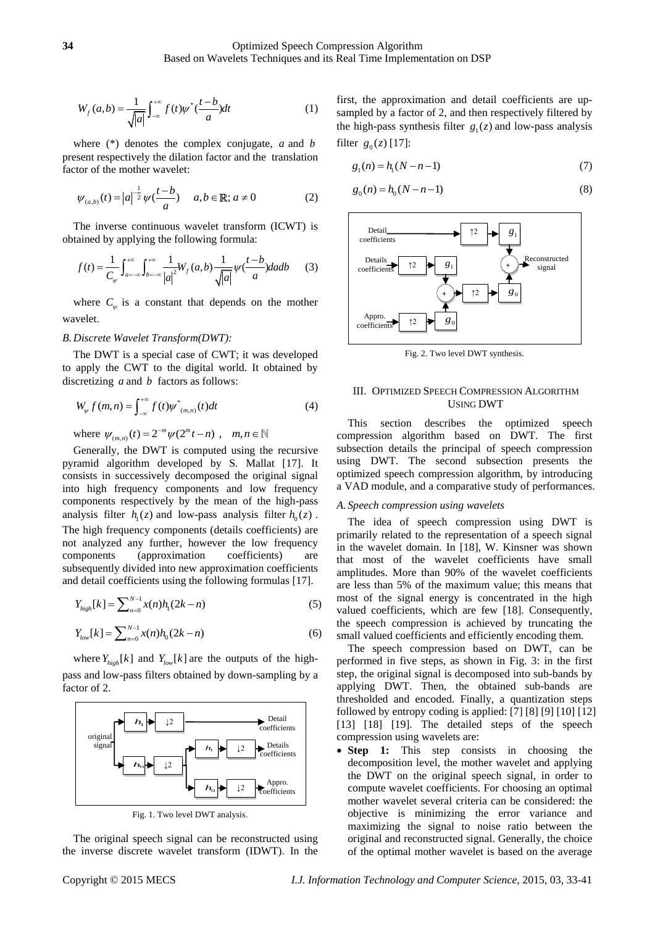$$
W_f(a,b) = \frac{1}{\sqrt{|a|}} \int_{-\infty}^{+\infty} f(t) \psi^* \left(\frac{t-b}{a}\right) dt
$$
 (1)

where (\*) denotes the complex conjugate, *a* and *b* present respectively the dilation factor and the translation factor of the mother wavelet:

$$
\psi_{(a,b)}(t) = |a|^{-\frac{1}{2}} \psi(\frac{t-b}{a}) \quad a, b \in \mathbb{R}; a \neq 0
$$
 (2)

The inverse continuous wavelet transform (ICWT) is

obtained by applying the following formula:  
\n
$$
f(t) = \frac{1}{C_{\psi}} \int_{a=-\infty}^{+\infty} \int_{b=-\infty}^{+\infty} \frac{1}{|a|^2} W_f(a,b) \frac{1}{\sqrt{|a|}} \psi(\frac{t-b}{a}) da db \qquad (3)
$$

where  $C_{\psi}$  is a constant that depends on the mother wavelet.

# *B.Discrete Wavelet Transform(DWT):*

The DWT is a special case of CWT; it was developed to apply the CWT to the digital world. It obtained by discretizing *a* and *b* factors as follows:

$$
W_{\psi} f(m, n) = \int_{-\infty}^{+\infty} f(t) \psi^*_{(m,n)}(t) dt
$$
 (4)

where  $\psi_{(m,n)}(t) = 2^{-m} \psi(2^m t - n)$ ,  $m, n \in$ 

Generally, the DWT is computed using the recursive pyramid algorithm developed by S. Mallat [17]. It consists in successively decomposed the original signal into high frequency components and low frequency components respectively by the mean of the high-pass analysis filter  $h_1(z)$  and low-pass analysis filter  $h_0(z)$ . The high frequency components (details coefficients) are not analyzed any further, however the low frequency components (approximation coefficients) are subsequently divided into new approximation coefficients and detail coefficients using the following formulas [17].

$$
Y_{high}[k] = \sum_{n=0}^{N-1} x(n)h_1(2k - n) \tag{5}
$$

$$
Y_{low}[k] = \sum_{n=0}^{N-1} x(n)h_0(2k - n)
$$
\n(6)

where  $Y_{high}[k]$  and  $Y_{low}[k]$  are the outputs of the highpass and low-pass filters obtained by down-sampling by a factor of 2.



Fig. 1. Two level DWT analysis.

The original speech signal can be reconstructed using the inverse discrete wavelet transform (IDWT). In the first, the approximation and detail coefficients are upsampled by a factor of 2, and then respectively filtered by the high-pass synthesis filter  $g_1(z)$  and low-pass analysis filter  $g_0(z)$  [17]:

$$
g_1(n) = h_1(N - n - 1)
$$
\n(7)

$$
g_0(n) = h_0(N - n - 1)
$$
\n(8)



Fig. 2. Two level DWT synthesis.

## III. OPTIMIZED SPEECH COMPRESSION ALGORITHM USING DWT

This section describes the optimized speech compression algorithm based on DWT. The first subsection details the principal of speech compression using DWT. The second subsection presents the optimized speech compression algorithm, by introducing a VAD module, and a comparative study of performances.

#### *A. Speech compression using wavelets*

The idea of speech compression using DWT is primarily related to the representation of a speech signal in the wavelet domain. In [18], W. Kinsner was shown that most of the wavelet coefficients have small amplitudes. More than 90% of the wavelet coefficients are less than 5% of the maximum value; this means that most of the signal energy is concentrated in the high valued coefficients, which are few [18]. Consequently, the speech compression is achieved by truncating the small valued coefficients and efficiently encoding them.

The speech compression based on DWT, can be performed in five steps, as shown in Fig. 3: in the first step, the original signal is decomposed into sub-bands by applying DWT. Then, the obtained sub-bands are thresholded and encoded. Finally, a quantization steps followed by entropy coding is applied: [7] [8] [9] [10] [12] [13] [18] [19]. The detailed steps of the speech compression using wavelets are:

• **Step 1:** This step consists in choosing the decomposition level, the mother wavelet and applying the DWT on the original speech signal, in order to compute wavelet coefficients. For choosing an optimal mother wavelet several criteria can be considered: the objective is minimizing the error variance and maximizing the signal to noise ratio between the original and reconstructed signal. Generally, the choice of the optimal mother wavelet is based on the average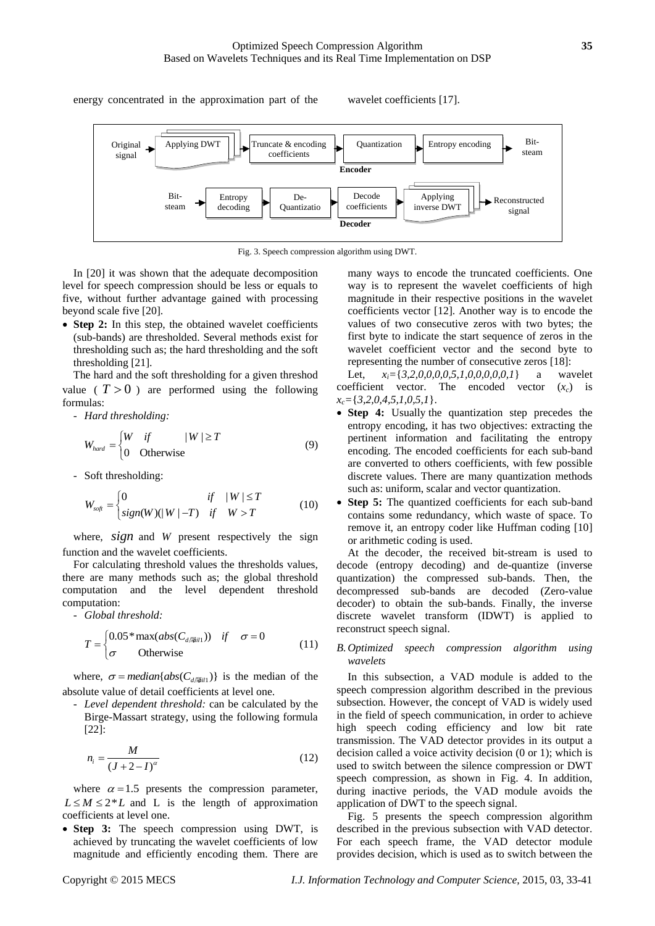energy concentrated in the approximation part of the wavelet coefficients [17].



Fig. 3. Speech compression algorithm using DWT.

In [20] it was shown that the adequate decomposition level for speech compression should be less or equals to five, without further advantage gained with processing beyond scale five [20].

• **Step 2:** In this step, the obtained wavelet coefficients (sub-bands) are thresholded. Several methods exist for thresholding such as; the hard thresholding and the soft thresholding [21].

The hard and the soft thresholding for a given threshod value ( $T > 0$ ) are performed using the following formulas:

- *Hard thresholding:*

$$
W_{hard} = \begin{cases} W & \text{if} \\ 0 & \text{Otherwise} \end{cases} \tag{9}
$$

- Soft thresholding:

$$
W_{\text{soft}} = \begin{cases} 0 & \text{if} \quad |W| \le T \\ \text{sign}(W)(|W| - T) & \text{if} \quad W > T \end{cases} \tag{10}
$$

where, sign and W present respectively the sign function and the wavelet coefficients.

For calculating threshold values the thresholds values, there are many methods such as; the global threshold computation and the level dependent threshold computation:

- *Global threshold:*

$$
T = \begin{cases} 0.05 * \max(abs(C_{d/\text{min}})) & \text{if } \sigma = 0\\ \sigma & \text{Otherwise} \end{cases}
$$
 (11)

where,  $\sigma$  = *median*{ $abs(C_{\textit{diffall}})$ } is the median of the absolute value of detail coefficients at level one.

- *Level dependent threshold:* can be calculated by the Birge-Massart strategy, using the following formula [22]:

$$
n_i = \frac{M}{\left(J + 2 - I\right)^{\alpha}}
$$
\n<sup>(12)</sup>

where  $\alpha = 1.5$  presents the compression parameter,  $L \leq M \leq 2^*L$  and L is the length of approximation coefficients at level one.

• **Step 3:** The speech compression using DWT, is achieved by truncating the wavelet coefficients of low magnitude and efficiently encoding them. There are many ways to encode the truncated coefficients. One way is to represent the wavelet coefficients of high magnitude in their respective positions in the wavelet coefficients vector [12]. Another way is to encode the values of two consecutive zeros with two bytes; the first byte to indicate the start sequence of zeros in the wavelet coefficient vector and the second byte to representing the number of consecutive zeros [18]:

Let, *xi=*{*3,2,0,0,0,0,5,1,0,0,0,0,0,1*} a wavelet coefficient vector. The encoded vector  $(x_c)$  is *xc=*{*3,2,0,4,5,1,0,5,1*}.

- **Step 4:** Usually the quantization step precedes the entropy encoding, it has two objectives: extracting the pertinent information and facilitating the entropy encoding. The encoded coefficients for each sub-band are converted to others coefficients, with few possible discrete values. There are many quantization methods such as: uniform, scalar and vector quantization.
- **Step 5:** The quantized coefficients for each sub-band contains some redundancy, which waste of space. To remove it, an entropy coder like Huffman coding [10] or arithmetic coding is used.

At the decoder, the received bit-stream is used to decode (entropy decoding) and de-quantize (inverse quantization) the compressed sub-bands. Then, the decompressed sub-bands are decoded (Zero-value decoder) to obtain the sub-bands. Finally, the inverse discrete wavelet transform (IDWT) is applied to reconstruct speech signal.

# *B.Optimized speech compression algorithm using wavelets*

In this subsection, a VAD module is added to the speech compression algorithm described in the previous subsection. However, the concept of VAD is widely used in the field of speech communication, in order to achieve high speech coding efficiency and low bit rate transmission. The VAD detector provides in its output a decision called a voice activity decision (0 or 1); which is used to switch between the silence compression or DWT speech compression, as shown in Fig. 4. In addition, during inactive periods, the VAD module avoids the application of DWT to the speech signal.

Fig. 5 presents the speech compression algorithm described in the previous subsection with VAD detector. For each speech frame, the VAD detector module provides decision, which is used as to switch between the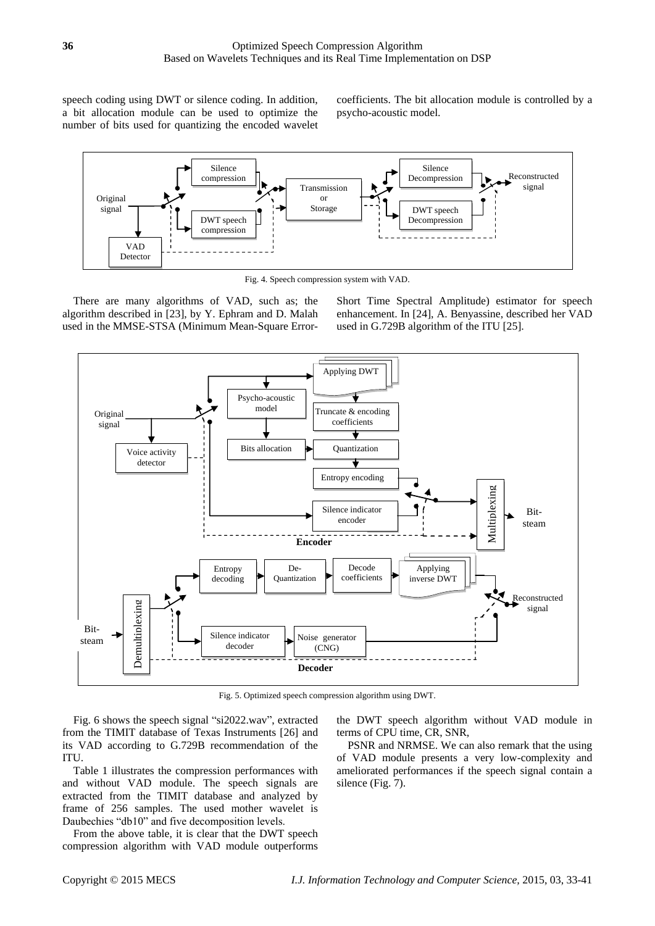speech coding using DWT or silence coding. In addition, a bit allocation module can be used to optimize the number of bits used for quantizing the encoded wavelet coefficients. The bit allocation module is controlled by a psycho-acoustic model.



Fig. 4. Speech compression system with VAD.

There are many algorithms of VAD, such as; the algorithm described in [23], by Y. Ephram and D. Malah used in the MMSE-STSA (Minimum Mean-Square ErrorShort Time Spectral Amplitude) estimator for speech enhancement. In [24], A. Benyassine, described her VAD used in G.729B algorithm of the ITU [25].



Fig. 5. Optimized speech compression algorithm using DWT.

Fig. 6 shows the speech signal "si2022.wav", extracted from the TIMIT database of Texas Instruments [26] and its VAD according to G.729B recommendation of the ITU.

Table 1 illustrates the compression performances with and without VAD module. The speech signals are extracted from the TIMIT database and analyzed by frame of 256 samples. The used mother wavelet is Daubechies "db10" and five decomposition levels.

From the above table, it is clear that the DWT speech compression algorithm with VAD module outperforms the DWT speech algorithm without VAD module in terms of CPU time, CR, SNR,

PSNR and NRMSE. We can also remark that the using of VAD module presents a very low-complexity and ameliorated performances if the speech signal contain a silence (Fig. 7).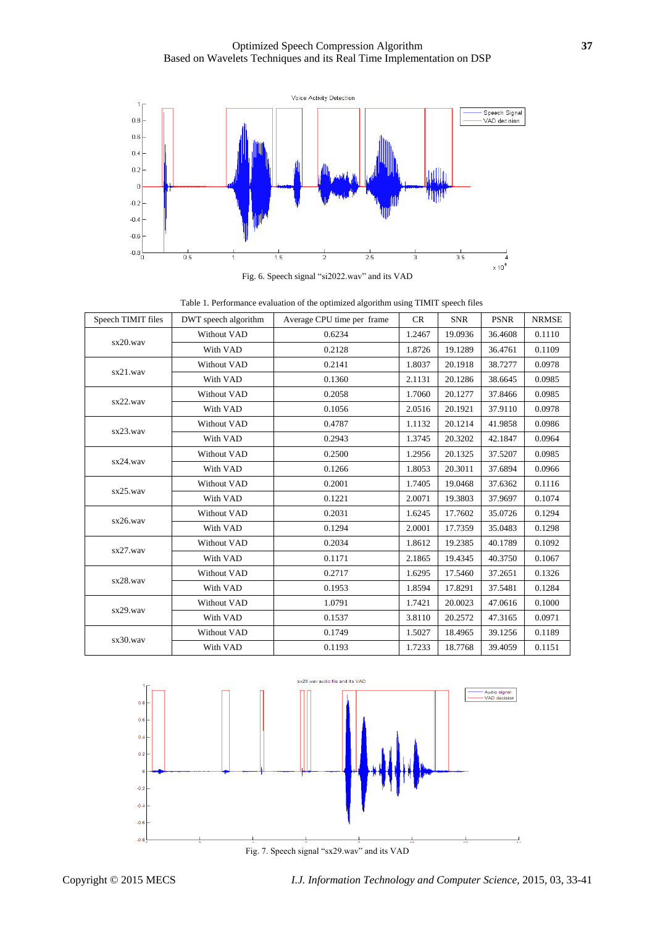Optimized Speech Compression Algorithm **37** Based on Wavelets Techniques and its Real Time Implementation on DSP



Fig. 6. Speech signal "si2022.wav" and its VAD

| Table 1. Performance evaluation of the optimized algorithm using TIMIT speech files |  |
|-------------------------------------------------------------------------------------|--|
|-------------------------------------------------------------------------------------|--|

| Speech TIMIT files | DWT speech algorithm | Average CPU time per frame | CR     | <b>SNR</b> | <b>PSNR</b> | <b>NRMSE</b> |
|--------------------|----------------------|----------------------------|--------|------------|-------------|--------------|
| sx20.wav           | Without VAD          | 0.6234                     | 1.2467 | 19.0936    | 36.4608     | 0.1110       |
|                    | With VAD             | 0.2128                     | 1.8726 | 19.1289    | 36.4761     | 0.1109       |
| sx21.wav           | Without VAD          | 0.2141                     | 1.8037 | 20.1918    | 38.7277     | 0.0978       |
|                    | With VAD             | 0.1360                     | 2.1131 | 20.1286    | 38.6645     | 0.0985       |
| sx22.wav           | Without VAD          | 0.2058                     | 1.7060 | 20.1277    | 37.8466     | 0.0985       |
|                    | With VAD             | 0.1056                     | 2.0516 | 20.1921    | 37.9110     | 0.0978       |
| sx23.wav           | Without VAD          | 0.4787                     | 1.1132 | 20.1214    | 41.9858     | 0.0986       |
|                    | With VAD             | 0.2943                     | 1.3745 | 20.3202    | 42.1847     | 0.0964       |
| sx24.wav           | Without VAD          | 0.2500                     | 1.2956 | 20.1325    | 37.5207     | 0.0985       |
|                    | With VAD             | 0.1266                     | 1.8053 | 20.3011    | 37.6894     | 0.0966       |
| sx25.wav           | Without VAD          | 0.2001                     | 1.7405 | 19.0468    | 37.6362     | 0.1116       |
|                    | With VAD             | 0.1221                     | 2.0071 | 19.3803    | 37.9697     | 0.1074       |
| sx26.wav           | Without VAD          | 0.2031                     | 1.6245 | 17.7602    | 35.0726     | 0.1294       |
|                    | With VAD             | 0.1294                     | 2.0001 | 17.7359    | 35.0483     | 0.1298       |
| sx27.wav           | Without VAD          | 0.2034                     | 1.8612 | 19.2385    | 40.1789     | 0.1092       |
|                    | With VAD             | 0.1171                     | 2.1865 | 19.4345    | 40.3750     | 0.1067       |
| sx28.wav           | Without VAD          | 0.2717                     | 1.6295 | 17.5460    | 37.2651     | 0.1326       |
|                    | With VAD             | 0.1953                     | 1.8594 | 17.8291    | 37.5481     | 0.1284       |
| sx29.wav           | Without VAD          | 1.0791                     | 1.7421 | 20.0023    | 47.0616     | 0.1000       |
|                    | With VAD             | 0.1537                     | 3.8110 | 20.2572    | 47.3165     | 0.0971       |
| sx30.wav           | Without VAD          | 0.1749                     | 1.5027 | 18.4965    | 39.1256     | 0.1189       |
|                    | With VAD             | 0.1193                     | 1.7233 | 18.7768    | 39.4059     | 0.1151       |

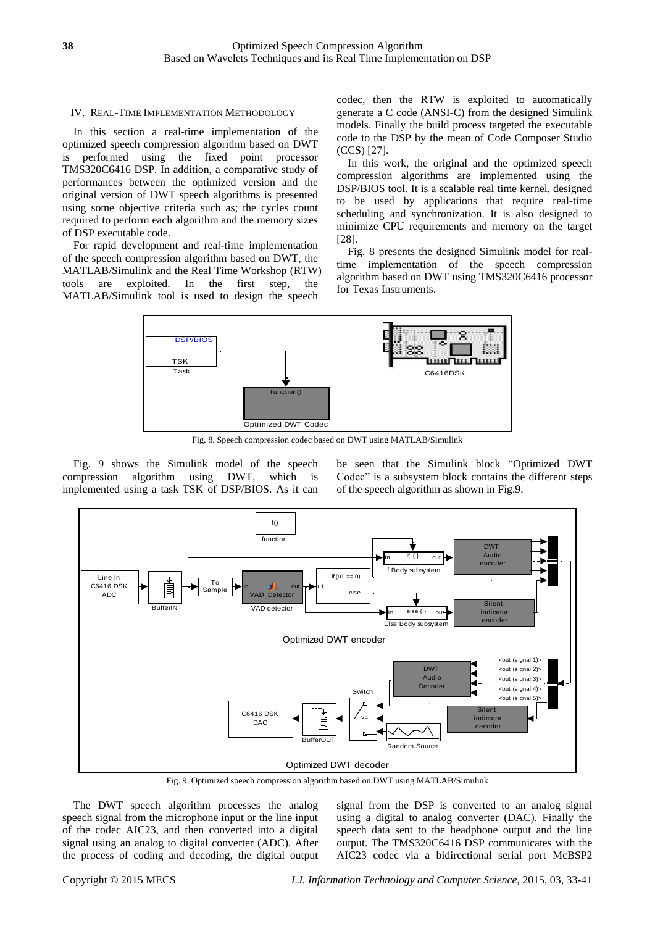## IV. REAL-TIME IMPLEMENTATION METHODOLOGY

In this section a real-time implementation of the optimized speech compression algorithm based on DWT is performed using the fixed point processor TMS320C6416 DSP. In addition, a comparative study of performances between the optimized version and the original version of DWT speech algorithms is presented using some objective criteria such as; the cycles count required to perform each algorithm and the memory sizes of DSP executable code.

For rapid development and real-time implementation of the speech compression algorithm based on DWT, the MATLAB/Simulink and the Real Time Workshop (RTW) tools are exploited. In the first step, the MATLAB/Simulink tool is used to design the speech

codec, then the RTW is exploited to automatically generate a C code (ANSI-C) from the designed Simulink models. Finally the build process targeted the executable code to the DSP by the mean of Code Composer Studio (CCS) [27].

In this work, the original and the optimized speech compression algorithms are implemented using the DSP/BIOS tool. It is a scalable real time kernel, designed to be used by applications that require real-time scheduling and synchronization. It is also designed to minimize CPU requirements and memory on the target [28].

Fig. 8 presents the designed Simulink model for realtime implementation of the speech compression algorithm based on DWT using TMS320C6416 processor for Texas Instruments.



Fig. 8. Speech compression codec based on DWT using MATLAB/Simulink

Fig. 9 shows the Simulink model of the speech compression algorithm using DWT, which is implemented using a task TSK of DSP/BIOS. As it can be seen that the Simulink block "Optimized DWT Codec" is a subsystem block contains the different steps of the speech algorithm as shown in Fig.9.



Fig. 9. Optimized speech compression algorithm based on DWT using MATLAB/Simulink

The DWT speech algorithm processes the analog speech signal from the microphone input or the line input of the codec AIC23, and then converted into a digital signal using an analog to digital converter (ADC). After the process of coding and decoding, the digital output signal from the DSP is converted to an analog signal using a digital to analog converter (DAC). Finally the speech data sent to the headphone output and the line output. The TMS320C6416 DSP communicates with the AIC23 codec via a bidirectional serial port McBSP2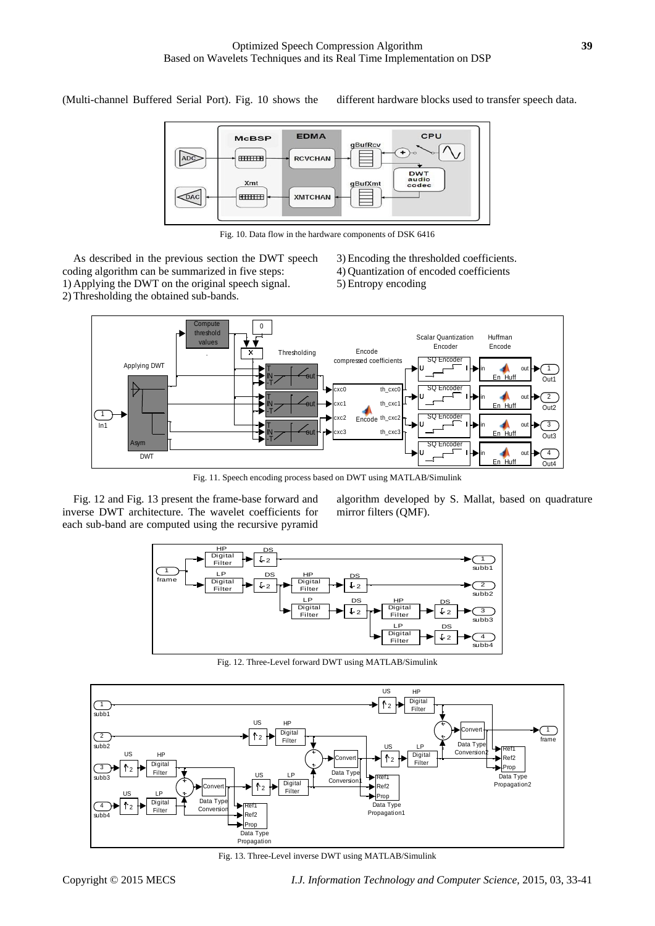(Multi-channel Buffered Serial Port). Fig. 10 shows the different hardware blocks used to transfer speech data.



Fig. 10. Data flow in the hardware components of DSK 6416

As described in the previous section the DWT speech coding algorithm can be summarized in five steps: 1) Applying the DWT on the original speech signal. 2) Thresholding the obtained sub-bands.

- 3) Encoding the thresholded coefficients.
- 4) Quantization of encoded coefficients
- 5) Entropy encoding



Fig. 11. Speech encoding process based on DWT using MATLAB/Simulink

Fig. 12 and Fig. 13 present the frame-base forward and inverse DWT architecture. The wavelet coefficients for each sub-band are computed using the recursive pyramid algorithm developed by S. Mallat, based on quadrature mirror filters (QMF).



Fig. 12. Three-Level forward DWT using MATLAB/Simulink



Fig. 13. Three-Level inverse DWT using MATLAB/Simulink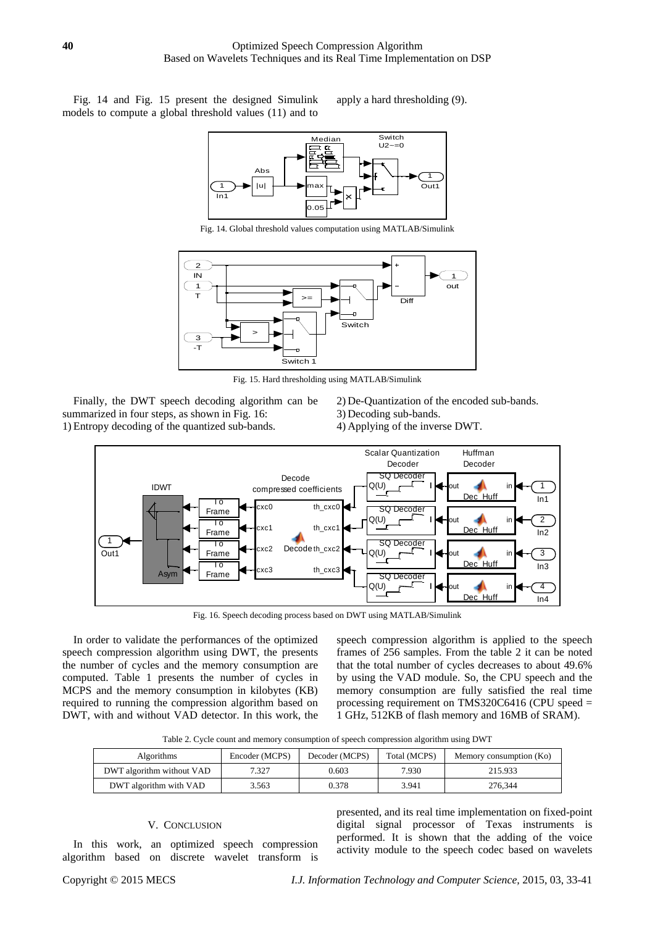Fig. 14 and Fig. 15 present the designed Simulink models to compute a global threshold values (11) and to apply a hard thresholding (9).



Fig. 14. Global threshold values computation using MATLAB/Simulink



Fig. 15. Hard thresholding using MATLAB/Simulink

Finally, the DWT speech decoding algorithm can be summarized in four steps, as shown in Fig. 16: 1) Entropy decoding of the quantized sub-bands.

- 2) De-Quantization of the encoded sub-bands.
- 3) Decoding sub-bands.
- 4) Applying of the inverse DWT.



Fig. 16. Speech decoding process based on DWT using MATLAB/Simulink

In order to validate the performances of the optimized speech compression algorithm using DWT, the presents the number of cycles and the memory consumption are computed. Table 1 presents the number of cycles in MCPS and the memory consumption in kilobytes (KB) required to running the compression algorithm based on DWT, with and without VAD detector. In this work, the speech compression algorithm is applied to the speech frames of 256 samples. From the table 2 it can be noted that the total number of cycles decreases to about 49.6% by using the VAD module. So, the CPU speech and the memory consumption are fully satisfied the real time processing requirement on TMS320C6416 (CPU speed = 1 GHz, 512KB of flash memory and 16MB of SRAM).

Table 2. Cycle count and memory consumption of speech compression algorithm using DWT

| Algorithms                | Encoder (MCPS) | Decoder (MCPS) | Total (MCPS) | Memory consumption (Ko) |
|---------------------------|----------------|----------------|--------------|-------------------------|
| DWT algorithm without VAD | 7.327          | 0.603          | 7.930        | 215.933                 |
| DWT algorithm with VAD    | 3.563          | 0.378          | 3.941        | 276,344                 |

# V. CONCLUSION

In this work, an optimized speech compression algorithm based on discrete wavelet transform is

presented, and its real time implementation on fixed-point digital signal processor of Texas instruments is performed. It is shown that the adding of the voice activity module to the speech codec based on wavelets